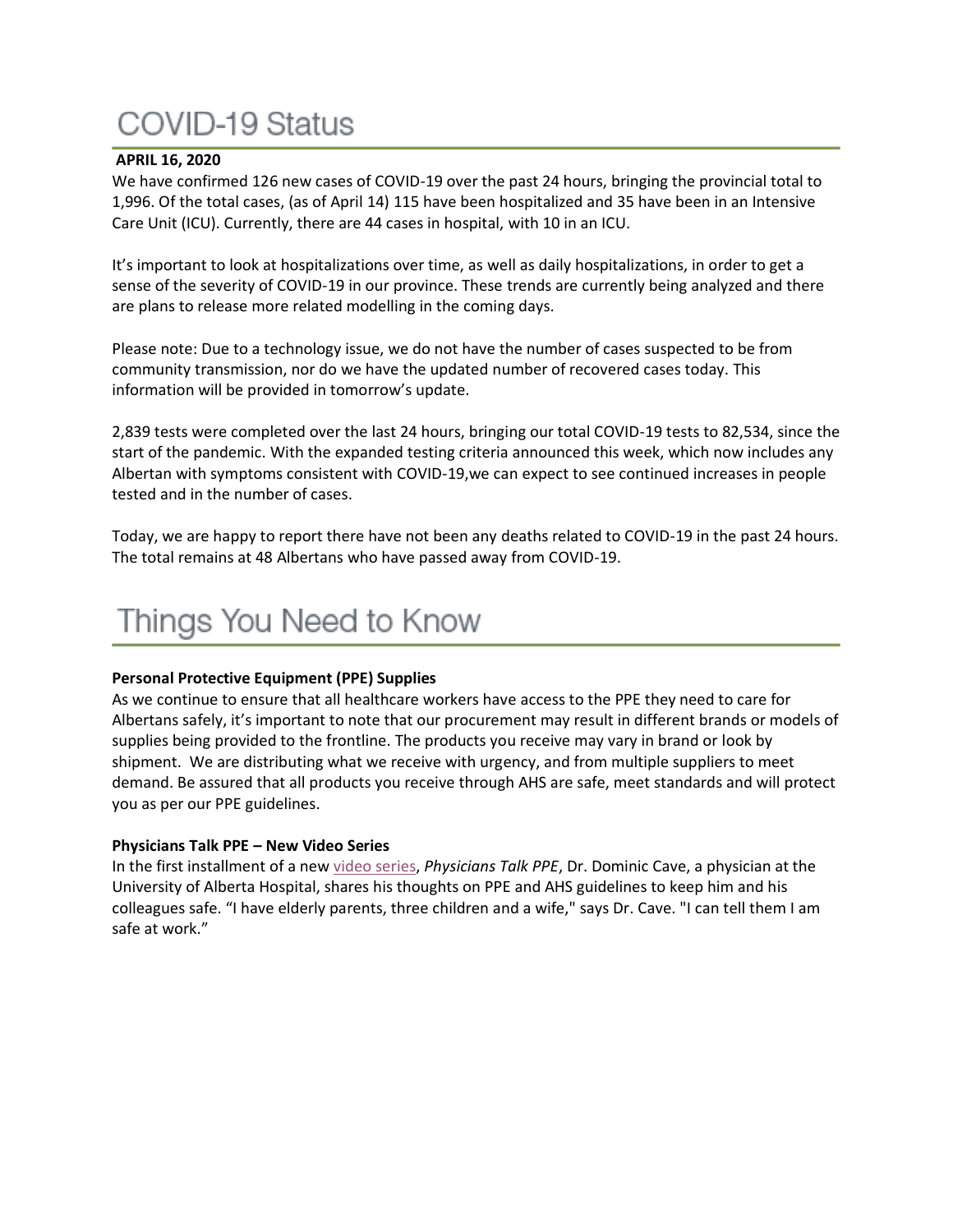# **COVID-19 Status**

#### **APRIL 16, 2020**

We have confirmed 126 new cases of COVID-19 over the past 24 hours, bringing the provincial total to 1,996. Of the total cases, (as of April 14) 115 have been hospitalized and 35 have been in an Intensive Care Unit (ICU). Currently, there are 44 cases in hospital, with 10 in an ICU.

It's important to look at hospitalizations over time, as well as daily hospitalizations, in order to get a sense of the severity of COVID-19 in our province. These trends are currently being analyzed and there are plans to release more related modelling in the coming days.

Please note: Due to a technology issue, we do not have the number of cases suspected to be from community transmission, nor do we have the updated number of recovered cases today. This information will be provided in tomorrow's update.

2,839 tests were completed over the last 24 hours, bringing our total COVID-19 tests to 82,534, since the start of the pandemic. With the expanded testing criteria announced this week, which now includes any Albertan with symptoms consistent with COVID-19,we can expect to see continued increases in people tested and in the number of cases.

Today, we are happy to report there have not been any deaths related to COVID-19 in the past 24 hours. The total remains at 48 Albertans who have passed away from COVID-19.

# Things You Need to Know

### **Personal Protective Equipment (PPE) Supplies**

As we continue to ensure that all healthcare workers have access to the PPE they need to care for Albertans safely, it's important to note that our procurement may result in different brands or models of supplies being provided to the frontline. The products you receive may vary in brand or look by shipment. We are distributing what we receive with urgency, and from multiple suppliers to meet demand. Be assured that all products you receive through AHS are safe, meet standards and will protect you as per our PPE guidelines.

### **Physicians Talk PPE – New Video Series**

In the first installment of a new [video series,](https://www.albertahealthservices.ca/topics/Page17079.aspx) *Physicians Talk PPE*, Dr. Dominic Cave, a physician at the University of Alberta Hospital, shares his thoughts on PPE and AHS guidelines to keep him and his colleagues safe. "I have elderly parents, three children and a wife," says Dr. Cave. "I can tell them I am safe at work."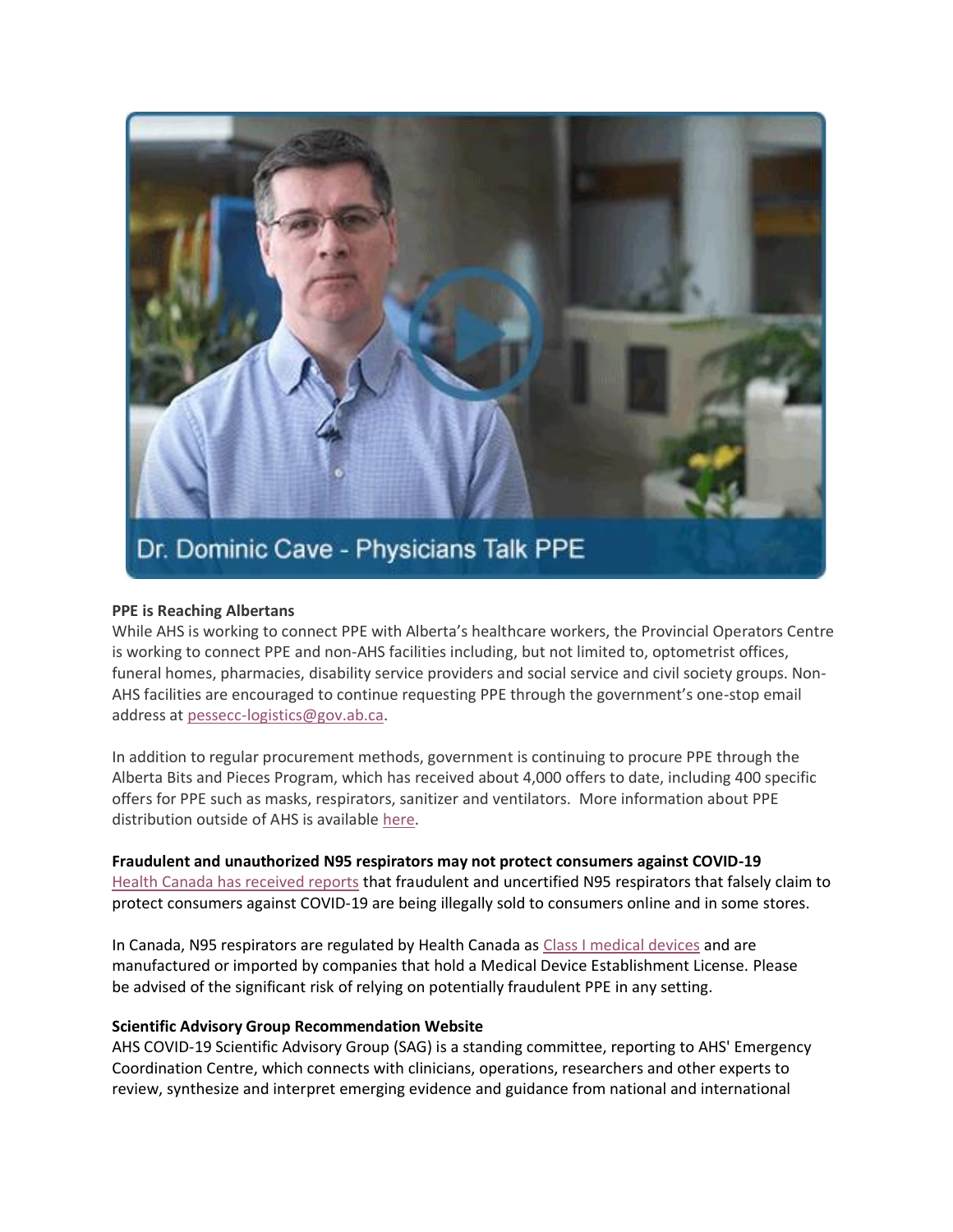

#### **PPE is Reaching Albertans**

While AHS is working to connect PPE with Alberta's healthcare workers, the Provincial Operators Centre is working to connect PPE and non-AHS facilities including, but not limited to, optometrist offices, funeral homes, pharmacies, disability service providers and social service and civil society groups. Non-AHS facilities are encouraged to continue requesting PPE through the government's one-stop email address at [pessecc-logistics@gov.ab.ca.](mailto:pessecc-logistics@gov.ab.ca)

In addition to regular procurement methods, government is continuing to procure PPE through the Alberta Bits and Pieces Program, which has received about 4,000 offers to date, including 400 specific offers for PPE such as masks, respirators, sanitizer and ventilators. More information about PPE distribution outside of AHS is available [here.](https://www.alberta.ca/release.cfm?xID=7010100C5EDE9-042B-B0D6-38219F57A8936D4F)

**Fraudulent and unauthorized N95 respirators may not protect consumers against COVID-19**

[Health Canada has received reports](https://healthycanadians.gc.ca/recall-alert-rappel-avis/hc-sc/2020/72707a-eng.php) that fraudulent and uncertified N95 respirators that falsely claim to protect consumers against COVID-19 are being illegally sold to consumers online and in some stores.

In Canada, N95 respirators are regulated by Health Canada as [Class I medical devices](https://www.canada.ca/en/health-canada/services/drugs-health-products/medical-devices/about-medical-devices.html) and are manufactured or imported by companies that hold a Medical Device Establishment License. Please be advised of the significant risk of relying on potentially fraudulent PPE in any setting.

### **Scientific Advisory Group Recommendation Website**

AHS COVID-19 Scientific Advisory Group (SAG) is a standing committee, reporting to AHS' Emergency Coordination Centre, which connects with clinicians, operations, researchers and other experts to review, synthesize and interpret emerging evidence and guidance from national and international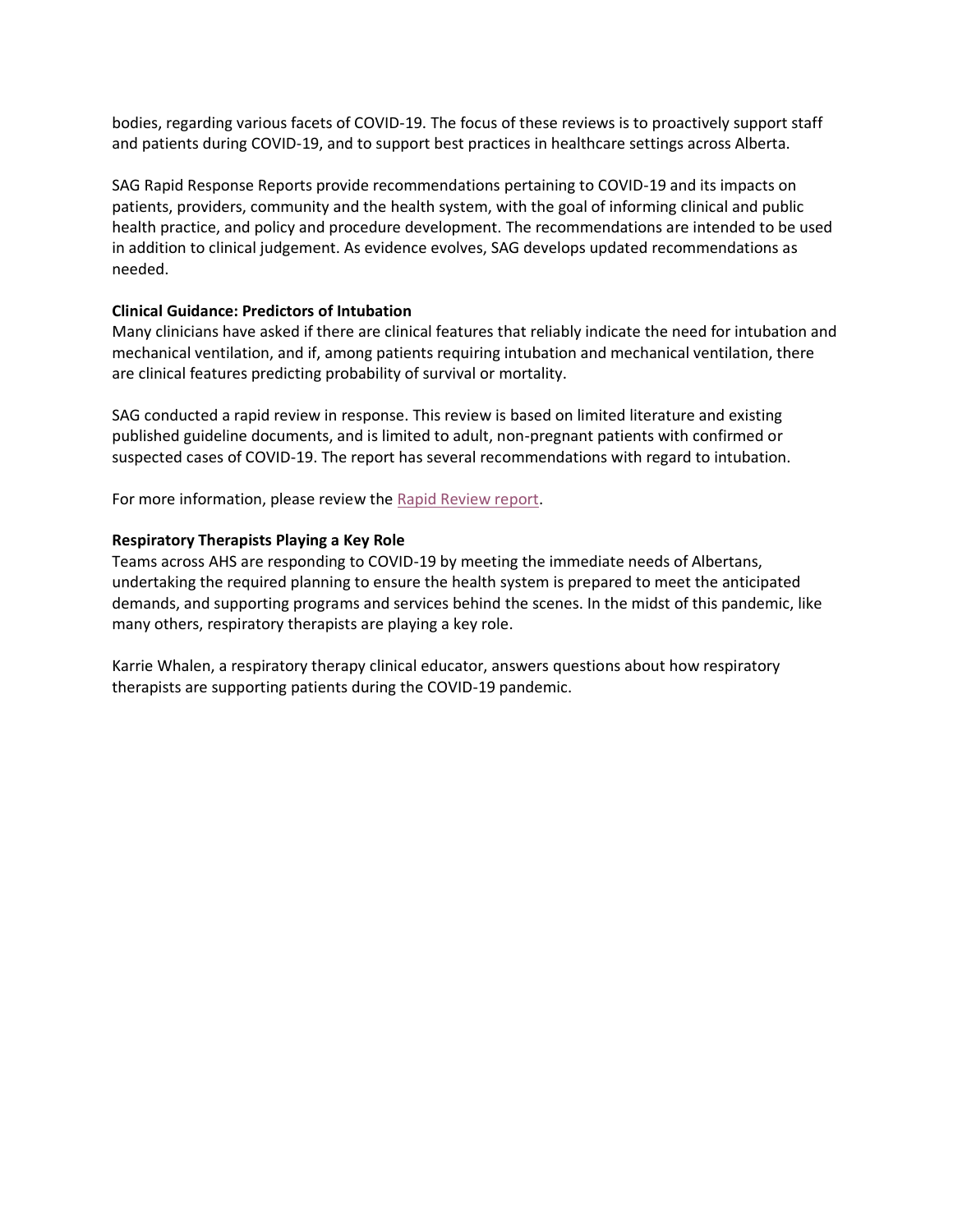bodies, regarding various facets of COVID-19. The focus of these reviews is to proactively support staff and patients during COVID-19, and to support best practices in healthcare settings across Alberta.

SAG Rapid Response Reports provide recommendations pertaining to COVID-19 and its impacts on patients, providers, community and the health system, with the goal of informing clinical and public health practice, and policy and procedure development. The recommendations are intended to be used in addition to clinical judgement. As evidence evolves, SAG develops updated recommendations as needed.

### **Clinical Guidance: Predictors of Intubation**

Many clinicians have asked if there are clinical features that reliably indicate the need for intubation and mechanical ventilation, and if, among patients requiring intubation and mechanical ventilation, there are clinical features predicting probability of survival or mortality.

SAG conducted a rapid review in response. This review is based on limited literature and existing published guideline documents, and is limited to adult, non-pregnant patients with confirmed or suspected cases of COVID-19. The report has several recommendations with regard to intubation.

For more information, please review the [Rapid Review report.](https://www.albertahealthservices.ca/assets/info/ppih/if-ppih-covid-19-rapid-review-predictors-of-intubation.pdf)

#### **Respiratory Therapists Playing a Key Role**

Teams across AHS are responding to COVID-19 by meeting the immediate needs of Albertans, undertaking the required planning to ensure the health system is prepared to meet the anticipated demands, and supporting programs and services behind the scenes. In the midst of this pandemic, like many others, respiratory therapists are playing a key role.

Karrie Whalen, a respiratory therapy clinical educator, answers questions about how respiratory therapists are supporting patients during the COVID-19 pandemic.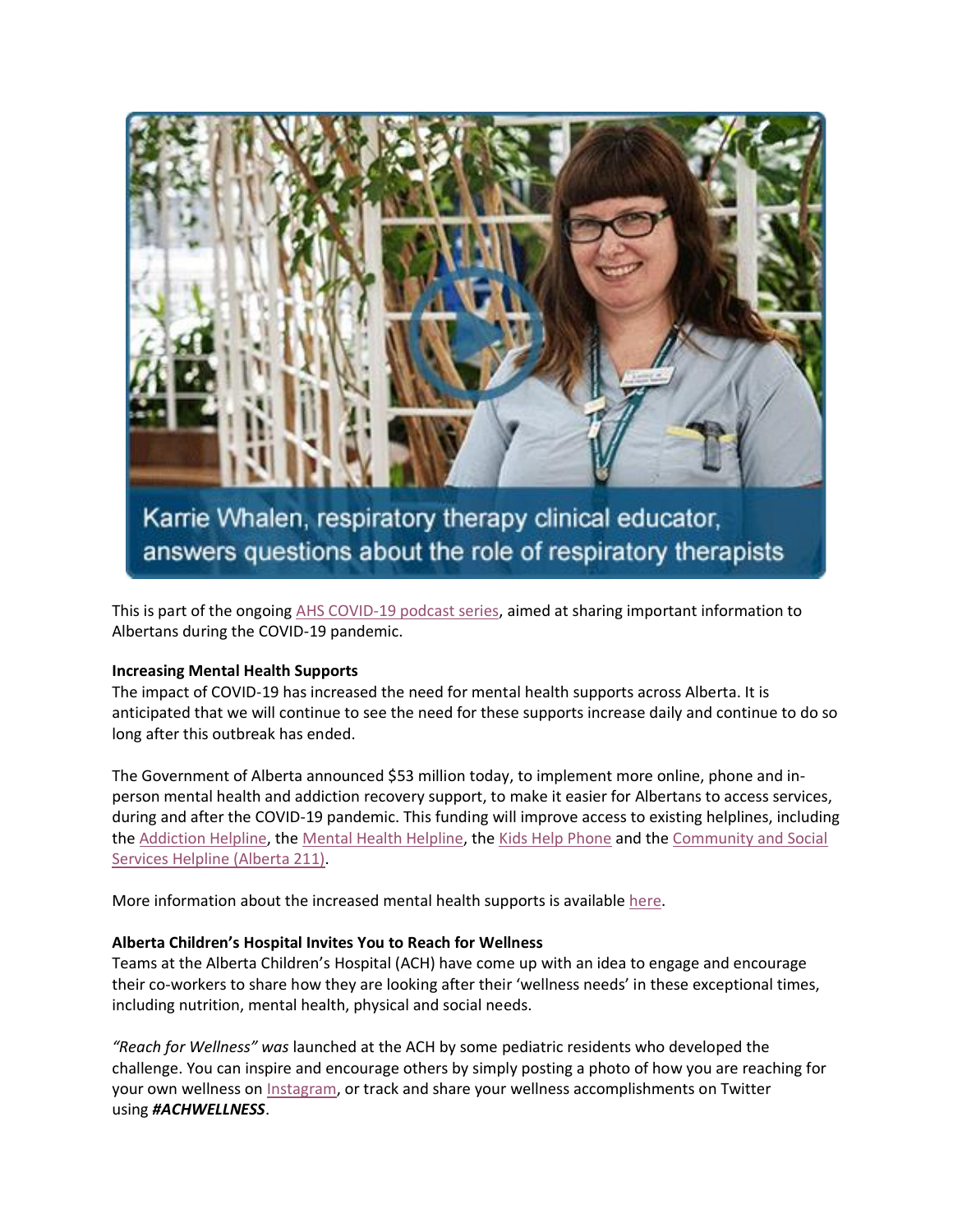

Karrie Whalen, respiratory therapy clinical educator, answers questions about the role of respiratory therapists

This is part of the ongoing [AHS COVID-19 podcast series,](https://www.albertahealthservices.ca/news/Page15434.aspx) aimed at sharing important information to Albertans during the COVID-19 pandemic.

#### **Increasing Mental Health Supports**

The impact of COVID-19 has increased the need for mental health supports across Alberta. It is anticipated that we will continue to see the need for these supports increase daily and continue to do so long after this outbreak has ended.

The Government of Alberta announced \$53 million today, to implement more online, phone and inperson mental health and addiction recovery support, to make it easier for Albertans to access services, during and after the COVID-19 pandemic. This funding will improve access to existing helplines, including the [Addiction Helpline,](https://www.albertahealthservices.ca/findhealth/Service.aspx?id=1008399&serviceAtFacilityID=1047128) the [Mental Health Helpline,](https://www.albertahealthservices.ca/findhealth/Service.aspx?id=6810&serviceAtFacilityID=1047134) the [Kids Help Phone](https://kidshelpphone.ca/get-involved/contact-us) and the [Community and Social](https://www.ab.211.ca/)  [Services Helpline \(Alberta 211\).](https://www.ab.211.ca/)

More information about the increased mental health supports is available [here.](https://www.alberta.ca/release.cfm?xID=70099FD5A018B-07BD-2B06-3BD3E6BD3108AF41)

#### **Alberta Children's Hospital Invites You to Reach for Wellness**

Teams at the Alberta Children's Hospital (ACH) have come up with an idea to engage and encourage their co-workers to share how they are looking after their 'wellness needs' in these exceptional times, including nutrition, mental health, physical and social needs.

*"Reach for Wellness" was* launched at the ACH by some pediatric residents who developed the challenge. You can inspire and encourage others by simply posting a photo of how you are reaching for your own wellness on [Instagram,](https://www.instagram.com/reach.for.wellness/?hl=en) or track and share your wellness accomplishments on Twitter using *#ACHWELLNESS*.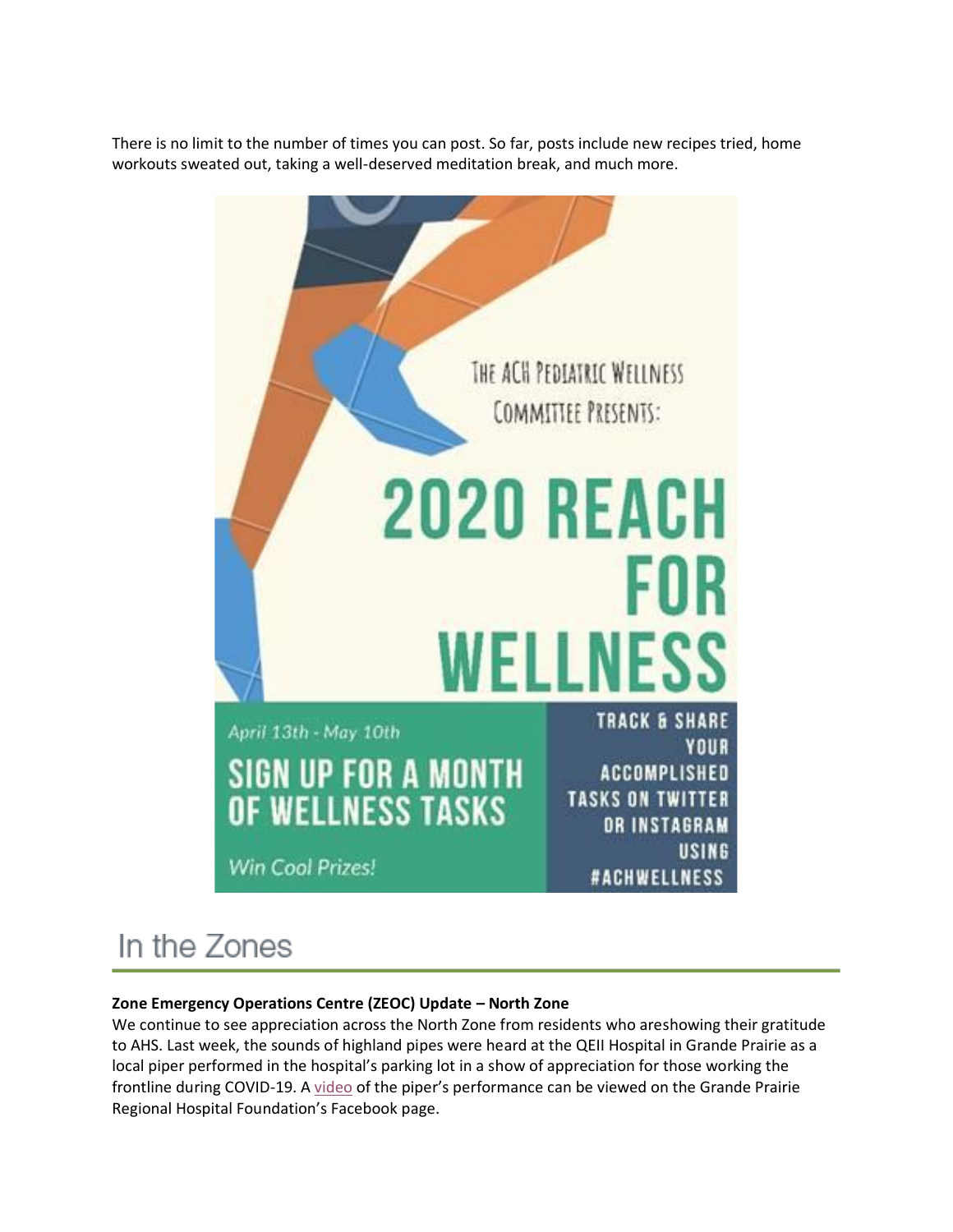There is no limit to the number of times you can post. So far, posts include new recipes tried, home workouts sweated out, taking a well-deserved meditation break, and much more.



# In the Zones

### **Zone Emergency Operations Centre (ZEOC) Update – North Zone**

We continue to see appreciation across the North Zone from residents who areshowing their gratitude to AHS. Last week, the sounds of highland pipes were heard at the QEII Hospital in Grande Prairie as a local piper performed in the hospital's parking lot in a show of appreciation for those working the frontline during COVID-19. A [video](https://www.facebook.com/supportyourhospital/videos/615209489063693/) of the piper's performance can be viewed on the Grande Prairie Regional Hospital Foundation's Facebook page.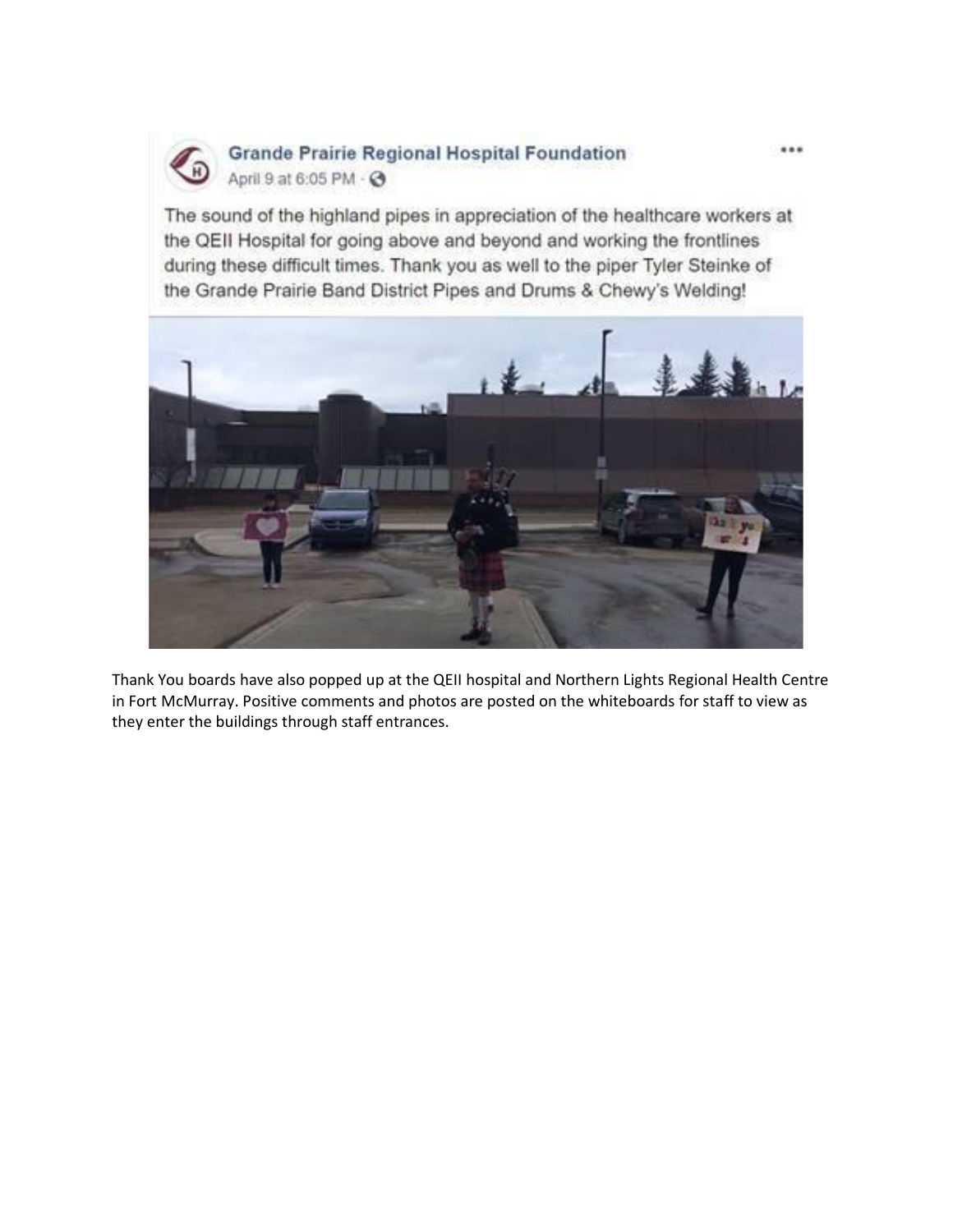

### **Grande Prairie Regional Hospital Foundation** April 9 at 6:05 PM - @

The sound of the highland pipes in appreciation of the healthcare workers at the QEII Hospital for going above and beyond and working the frontlines during these difficult times. Thank you as well to the piper Tyler Steinke of the Grande Prairie Band District Pipes and Drums & Chewy's Welding!



Thank You boards have also popped up at the QEII hospital and Northern Lights Regional Health Centre in Fort McMurray. Positive comments and photos are posted on the whiteboards for staff to view as they enter the buildings through staff entrances.